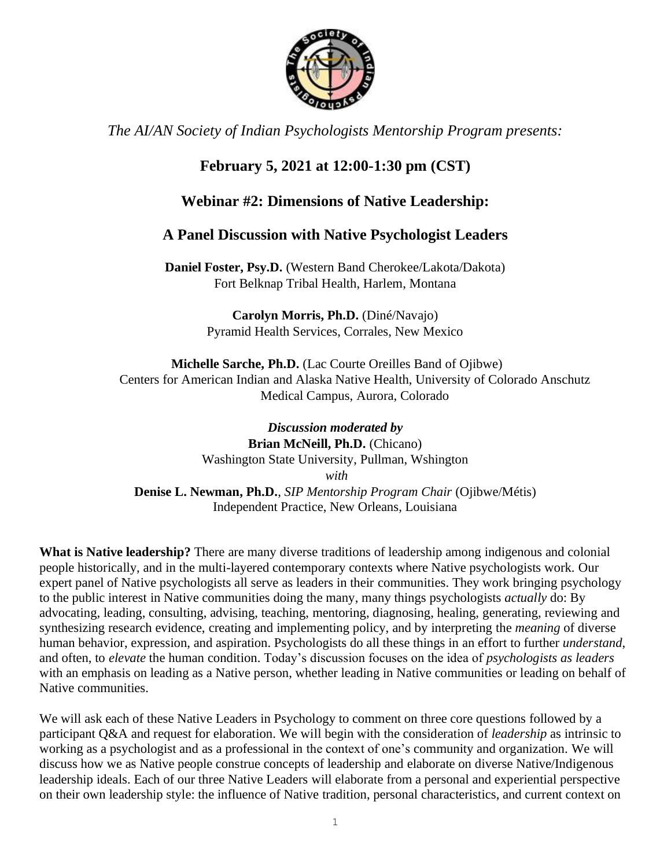

*The AI/AN Society of Indian Psychologists Mentorship Program presents:*

# **February 5, 2021 at 12:00-1:30 pm (CST)**

## **Webinar #2: Dimensions of Native Leadership:**

## **A Panel Discussion with Native Psychologist Leaders**

**Daniel Foster, Psy.D.** (Western Band Cherokee/Lakota/Dakota) Fort Belknap Tribal Health, Harlem, Montana

> **Carolyn Morris, Ph.D.** (Diné/Navajo) Pyramid Health Services, Corrales, New Mexico

**Michelle Sarche, Ph.D.** (Lac Courte Oreilles Band of Ojibwe) Centers for American Indian and Alaska Native Health, University of Colorado Anschutz Medical Campus, Aurora, Colorado

*Discussion moderated by*  **Brian McNeill, Ph.D.** (Chicano) Washington State University, Pullman, Wshington *with* **Denise L. Newman, Ph.D.**, *SIP Mentorship Program Chair* (Ojibwe/Métis) Independent Practice, New Orleans, Louisiana

**What is Native leadership?** There are many diverse traditions of leadership among indigenous and colonial people historically, and in the multi-layered contemporary contexts where Native psychologists work. Our expert panel of Native psychologists all serve as leaders in their communities. They work bringing psychology to the public interest in Native communities doing the many, many things psychologists *actually* do: By advocating, leading, consulting, advising, teaching, mentoring, diagnosing, healing, generating, reviewing and synthesizing research evidence, creating and implementing policy, and by interpreting the *meaning* of diverse human behavior, expression, and aspiration. Psychologists do all these things in an effort to further *understand*, and often, to *elevate* the human condition. Today's discussion focuses on the idea of *psychologists as leaders* with an emphasis on leading as a Native person, whether leading in Native communities or leading on behalf of Native communities.

We will ask each of these Native Leaders in Psychology to comment on three core questions followed by a participant Q&A and request for elaboration. We will begin with the consideration of *leadership* as intrinsic to working as a psychologist and as a professional in the context of one's community and organization. We will discuss how we as Native people construe concepts of leadership and elaborate on diverse Native/Indigenous leadership ideals. Each of our three Native Leaders will elaborate from a personal and experiential perspective on their own leadership style: the influence of Native tradition, personal characteristics, and current context on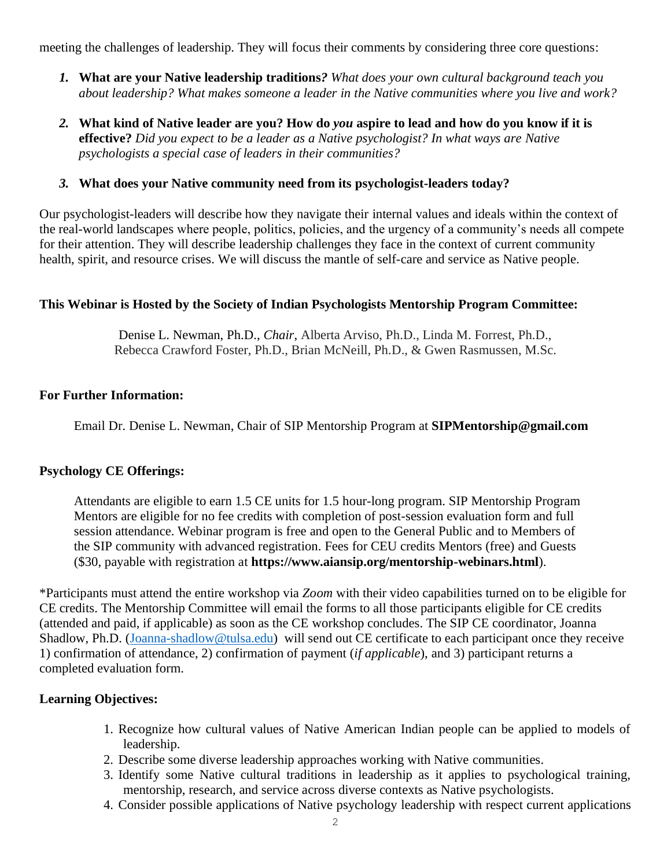meeting the challenges of leadership. They will focus their comments by considering three core questions:

- *1.* **What are your Native leadership traditions***? What does your own cultural background teach you about leadership? What makes someone a leader in the Native communities where you live and work?*
- *2.* **What kind of Native leader are you? How do** *you* **aspire to lead and how do you know if it is effective?** *Did you expect to be a leader as a Native psychologist? In what ways are Native psychologists a special case of leaders in their communities?*
- *3.* **What does your Native community need from its psychologist-leaders today?**

Our psychologist-leaders will describe how they navigate their internal values and ideals within the context of the real-world landscapes where people, politics, policies, and the urgency of a community's needs all compete for their attention. They will describe leadership challenges they face in the context of current community health, spirit, and resource crises. We will discuss the mantle of self-care and service as Native people.

### **This Webinar is Hosted by the Society of Indian Psychologists Mentorship Program Committee:**

Denise L. Newman, Ph.D., *Chair*, Alberta Arviso, Ph.D., Linda M. Forrest, Ph.D., Rebecca Crawford Foster, Ph.D., Brian McNeill, Ph.D., & Gwen Rasmussen, M.Sc.

### **For Further Information:**

Email Dr. Denise L. Newman, Chair of SIP Mentorship Program at **SIPMentorship@gmail.com**

#### **Psychology CE Offerings:**

Attendants are eligible to earn 1.5 CE units for 1.5 hour-long program. SIP Mentorship Program Mentors are eligible for no fee credits with completion of post-session evaluation form and full session attendance. Webinar program is free and open to the General Public and to Members of the SIP community with advanced registration. Fees for CEU credits Mentors (free) and Guests (\$30, payable with registration at **https://www.aiansip.org/mentorship-webinars.html**).

\*Participants must attend the entire workshop via *Zoom* with their video capabilities turned on to be eligible for CE credits. The Mentorship Committee will email the forms to all those participants eligible for CE credits (attended and paid, if applicable) as soon as the CE workshop concludes. The SIP CE coordinator, Joanna Shadlow, Ph.D. [\(Joanna-shadlow@tulsa.edu\)](mailto:Joanna-shadlow@tulsa.edu) will send out CE certificate to each participant once they receive 1) confirmation of attendance, 2) confirmation of payment (*if applicable*), and 3) participant returns a completed evaluation form.

### **Learning Objectives:**

- 1. Recognize how cultural values of Native American Indian people can be applied to models of leadership.
- 2. Describe some diverse leadership approaches working with Native communities.
- 3. Identify some Native cultural traditions in leadership as it applies to psychological training, mentorship, research, and service across diverse contexts as Native psychologists.
- 4. Consider possible applications of Native psychology leadership with respect current applications